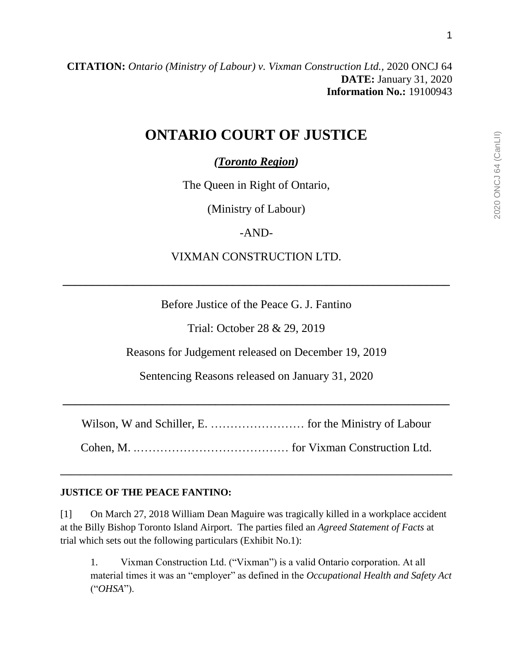# **ONTARIO COURT OF JUSTICE**

*(Toronto Region)*

The Queen in Right of Ontario,

(Ministry of Labour)

-AND-

VIXMAN CONSTRUCTION LTD.

**\_\_\_\_\_\_\_\_\_\_\_\_\_\_\_\_\_\_\_\_\_\_\_\_\_\_\_\_\_\_\_\_\_\_\_\_\_\_\_\_\_\_\_\_\_\_\_\_\_\_\_\_\_\_\_\_\_\_\_\_\_\_\_\_\_\_**

Before Justice of the Peace G. J. Fantino

Trial: October 28 & 29, 2019

Reasons for Judgement released on December 19, 2019

Sentencing Reasons released on January 31, 2020

Wilson, W and Schiller, E. …………………… for the Ministry of Labour

**\_\_\_\_\_\_\_\_\_\_\_\_\_\_\_\_\_\_\_\_\_\_\_\_\_\_\_\_\_\_\_\_\_\_\_\_\_\_\_\_\_\_\_\_\_\_\_\_\_\_\_\_\_\_\_\_\_\_\_\_\_\_\_\_\_\_**

Cohen, M. .………………………………… for Vixman Construction Ltd.

**\_\_\_\_\_\_\_\_\_\_\_\_\_\_\_\_\_\_\_\_\_\_\_\_\_\_\_\_\_\_\_\_\_\_\_\_\_\_\_\_\_\_\_\_\_\_\_\_\_\_\_\_\_\_\_\_\_\_\_\_\_\_\_\_\_\_\_\_\_\_\_\_\_\_\_\_\_\_**

# **JUSTICE OF THE PEACE FANTINO:**

[1] On March 27, 2018 William Dean Maguire was tragically killed in a workplace accident at the Billy Bishop Toronto Island Airport. The parties filed an *Agreed Statement of Facts* at trial which sets out the following particulars (Exhibit No.1):

1. Vixman Construction Ltd. ("Vixman") is a valid Ontario corporation. At all material times it was an "employer" as defined in the *Occupational Health and Safety Act* ("*OHSA*").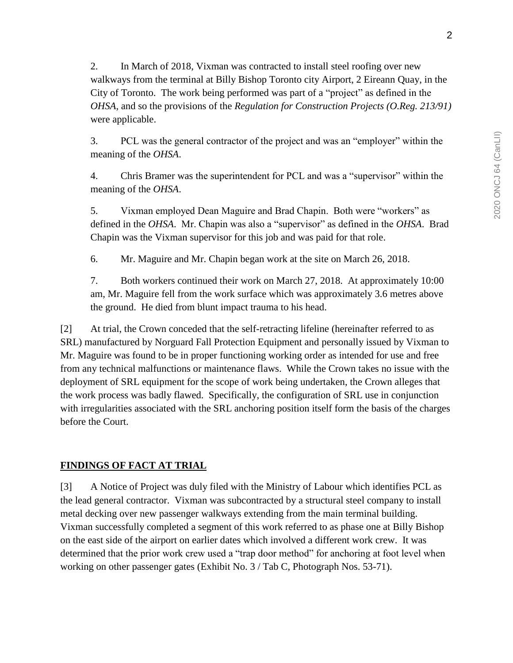2. In March of 2018, Vixman was contracted to install steel roofing over new walkways from the terminal at Billy Bishop Toronto city Airport, 2 Eireann Quay, in the City of Toronto. The work being performed was part of a "project" as defined in the *OHSA*, and so the provisions of the *Regulation for Construction Projects (O.Reg. 213/91)* were applicable.

3. PCL was the general contractor of the project and was an "employer" within the meaning of the *OHSA*.

4. Chris Bramer was the superintendent for PCL and was a "supervisor" within the meaning of the *OHSA*.

5. Vixman employed Dean Maguire and Brad Chapin. Both were "workers" as defined in the *OHSA*. Mr. Chapin was also a "supervisor" as defined in the *OHSA*. Brad Chapin was the Vixman supervisor for this job and was paid for that role.

6. Mr. Maguire and Mr. Chapin began work at the site on March 26, 2018.

7. Both workers continued their work on March 27, 2018. At approximately 10:00 am, Mr. Maguire fell from the work surface which was approximately 3.6 metres above the ground. He died from blunt impact trauma to his head.

[2] At trial, the Crown conceded that the self-retracting lifeline (hereinafter referred to as SRL) manufactured by Norguard Fall Protection Equipment and personally issued by Vixman to Mr. Maguire was found to be in proper functioning working order as intended for use and free from any technical malfunctions or maintenance flaws. While the Crown takes no issue with the deployment of SRL equipment for the scope of work being undertaken, the Crown alleges that the work process was badly flawed. Specifically, the configuration of SRL use in conjunction with irregularities associated with the SRL anchoring position itself form the basis of the charges before the Court.

## **FINDINGS OF FACT AT TRIAL**

[3] A Notice of Project was duly filed with the Ministry of Labour which identifies PCL as the lead general contractor. Vixman was subcontracted by a structural steel company to install metal decking over new passenger walkways extending from the main terminal building. Vixman successfully completed a segment of this work referred to as phase one at Billy Bishop on the east side of the airport on earlier dates which involved a different work crew. It was determined that the prior work crew used a "trap door method" for anchoring at foot level when working on other passenger gates (Exhibit No. 3 / Tab C, Photograph Nos. 53-71).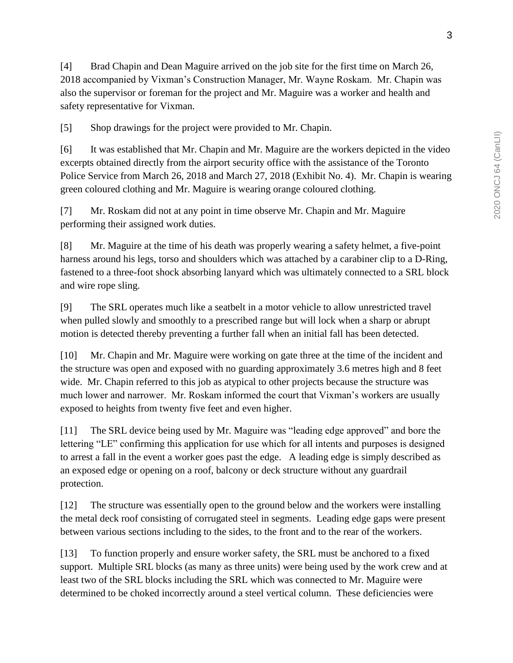[4] Brad Chapin and Dean Maguire arrived on the job site for the first time on March 26, 2018 accompanied by Vixman's Construction Manager, Mr. Wayne Roskam. Mr. Chapin was also the supervisor or foreman for the project and Mr. Maguire was a worker and health and safety representative for Vixman.

[5] Shop drawings for the project were provided to Mr. Chapin.

[6] It was established that Mr. Chapin and Mr. Maguire are the workers depicted in the video excerpts obtained directly from the airport security office with the assistance of the Toronto Police Service from March 26, 2018 and March 27, 2018 (Exhibit No. 4). Mr. Chapin is wearing green coloured clothing and Mr. Maguire is wearing orange coloured clothing.

[7] Mr. Roskam did not at any point in time observe Mr. Chapin and Mr. Maguire performing their assigned work duties.

[8] Mr. Maguire at the time of his death was properly wearing a safety helmet, a five-point harness around his legs, torso and shoulders which was attached by a carabiner clip to a D-Ring, fastened to a three-foot shock absorbing lanyard which was ultimately connected to a SRL block and wire rope sling.

[9] The SRL operates much like a seatbelt in a motor vehicle to allow unrestricted travel when pulled slowly and smoothly to a prescribed range but will lock when a sharp or abrupt motion is detected thereby preventing a further fall when an initial fall has been detected.

[10] Mr. Chapin and Mr. Maguire were working on gate three at the time of the incident and the structure was open and exposed with no guarding approximately 3.6 metres high and 8 feet wide. Mr. Chapin referred to this job as atypical to other projects because the structure was much lower and narrower. Mr. Roskam informed the court that Vixman's workers are usually exposed to heights from twenty five feet and even higher.

[11] The SRL device being used by Mr. Maguire was "leading edge approved" and bore the lettering "LE" confirming this application for use which for all intents and purposes is designed to arrest a fall in the event a worker goes past the edge. A leading edge is simply described as an exposed edge or opening on a roof, balcony or deck structure without any guardrail protection.

[12] The structure was essentially open to the ground below and the workers were installing the metal deck roof consisting of corrugated steel in segments. Leading edge gaps were present between various sections including to the sides, to the front and to the rear of the workers.

[13] To function properly and ensure worker safety, the SRL must be anchored to a fixed support. Multiple SRL blocks (as many as three units) were being used by the work crew and at least two of the SRL blocks including the SRL which was connected to Mr. Maguire were determined to be choked incorrectly around a steel vertical column. These deficiencies were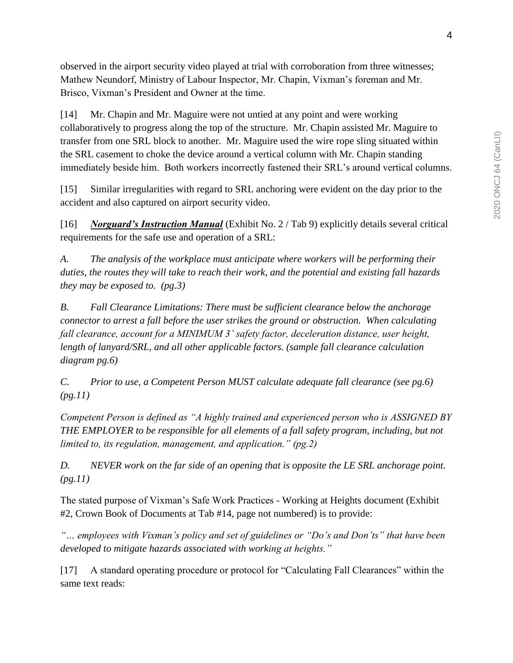observed in the airport security video played at trial with corroboration from three witnesses; Mathew Neundorf, Ministry of Labour Inspector, Mr. Chapin, Vixman's foreman and Mr. Brisco, Vixman's President and Owner at the time.

[14] Mr. Chapin and Mr. Maguire were not untied at any point and were working collaboratively to progress along the top of the structure. Mr. Chapin assisted Mr. Maguire to transfer from one SRL block to another. Mr. Maguire used the wire rope sling situated within the SRL casement to choke the device around a vertical column with Mr. Chapin standing immediately beside him. Both workers incorrectly fastened their SRL's around vertical columns.

[15] Similar irregularities with regard to SRL anchoring were evident on the day prior to the accident and also captured on airport security video.

[16] *Norguard's Instruction Manual* (Exhibit No. 2 / Tab 9) explicitly details several critical requirements for the safe use and operation of a SRL:

*A. The analysis of the workplace must anticipate where workers will be performing their duties, the routes they will take to reach their work, and the potential and existing fall hazards they may be exposed to. (pg.3)* 

*B. Fall Clearance Limitations: There must be sufficient clearance below the anchorage connector to arrest a fall before the user strikes the ground or obstruction. When calculating fall clearance, account for a MINIMUM 3' safety factor, deceleration distance, user height, length of lanyard/SRL, and all other applicable factors. (sample fall clearance calculation diagram pg.6)*

*C. Prior to use, a Competent Person MUST calculate adequate fall clearance (see pg.6) (pg.11)*

*Competent Person is defined as "A highly trained and experienced person who is ASSIGNED BY THE EMPLOYER to be responsible for all elements of a fall safety program, including, but not limited to, its regulation, management, and application." (pg.2)* 

*D. NEVER work on the far side of an opening that is opposite the LE SRL anchorage point. (pg.11)*

The stated purpose of Vixman's Safe Work Practices - Working at Heights document (Exhibit #2, Crown Book of Documents at Tab #14, page not numbered) is to provide:

*"… employees with Vixman's policy and set of guidelines or "Do's and Don'ts" that have been developed to mitigate hazards associated with working at heights."*

[17] A standard operating procedure or protocol for "Calculating Fall Clearances" within the same text reads: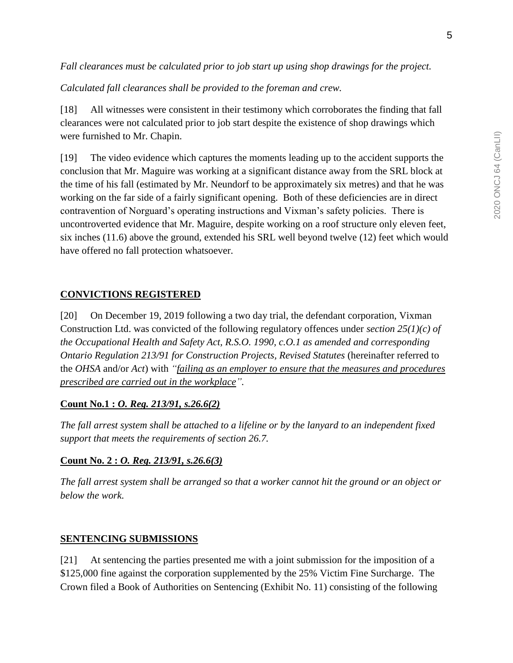*Fall clearances must be calculated prior to job start up using shop drawings for the project.*

*Calculated fall clearances shall be provided to the foreman and crew.* 

[18] All witnesses were consistent in their testimony which corroborates the finding that fall clearances were not calculated prior to job start despite the existence of shop drawings which were furnished to Mr. Chapin.

[19] The video evidence which captures the moments leading up to the accident supports the conclusion that Mr. Maguire was working at a significant distance away from the SRL block at the time of his fall (estimated by Mr. Neundorf to be approximately six metres) and that he was working on the far side of a fairly significant opening. Both of these deficiencies are in direct contravention of Norguard's operating instructions and Vixman's safety policies. There is uncontroverted evidence that Mr. Maguire, despite working on a roof structure only eleven feet, six inches (11.6) above the ground, extended his SRL well beyond twelve (12) feet which would have offered no fall protection whatsoever.

#### **CONVICTIONS REGISTERED**

[20] On December 19, 2019 following a two day trial, the defendant corporation, Vixman Construction Ltd. was convicted of the following regulatory offences under *section 25(1)(c) of the Occupational Health and Safety Act, R.S.O. 1990, c.O.1 as amended and corresponding Ontario Regulation 213/91 for Construction Projects, Revised Statutes* (hereinafter referred to the *OHSA* and/or *Act*) with *"failing as an employer to ensure that the measures and procedures prescribed are carried out in the workplace".*

#### **Count No.1 :** *O. Reg. 213/91, s.26.6(2)*

*The fall arrest system shall be attached to a lifeline or by the lanyard to an independent fixed support that meets the requirements of section 26.7.*

#### **Count No. 2 :** *O. Reg. 213/91, s.26.6(3)*

*The fall arrest system shall be arranged so that a worker cannot hit the ground or an object or below the work.*

#### **SENTENCING SUBMISSIONS**

[21] At sentencing the parties presented me with a joint submission for the imposition of a \$125,000 fine against the corporation supplemented by the 25% Victim Fine Surcharge. The Crown filed a Book of Authorities on Sentencing (Exhibit No. 11) consisting of the following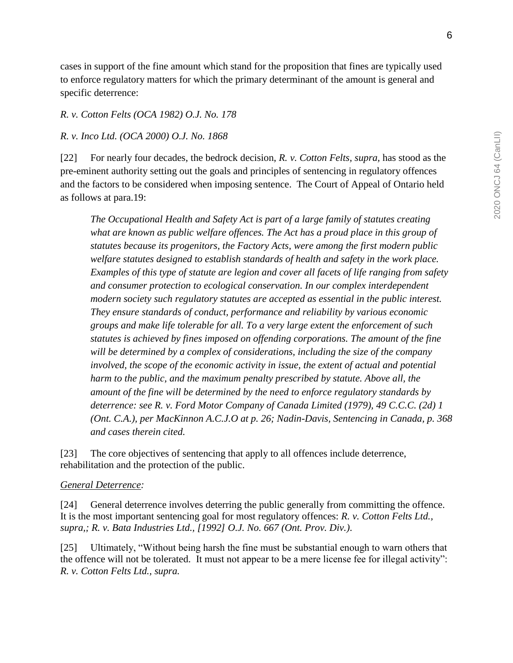cases in support of the fine amount which stand for the proposition that fines are typically used to enforce regulatory matters for which the primary determinant of the amount is general and specific deterrence:

#### *R. v. Cotton Felts (OCA 1982) O.J. No. 178*

#### *R. v. Inco Ltd. (OCA 2000) O.J. No. 1868*

[22] For nearly four decades, the bedrock decision, *R. v. Cotton Felts, supra,* has stood as the pre-eminent authority setting out the goals and principles of sentencing in regulatory offences and the factors to be considered when imposing sentence. The Court of Appeal of Ontario held as follows at para.19:

*The Occupational Health and Safety Act is part of a large family of statutes creating*  what are known as public welfare offences. The Act has a proud place in this group of *statutes because its progenitors, the Factory Acts, were among the first modern public welfare statutes designed to establish standards of health and safety in the work place. Examples of this type of statute are legion and cover all facets of life ranging from safety and consumer protection to ecological conservation. In our complex interdependent modern society such regulatory statutes are accepted as essential in the public interest. They ensure standards of conduct, performance and reliability by various economic groups and make life tolerable for all. To a very large extent the enforcement of such statutes is achieved by fines imposed on offending corporations. The amount of the fine will be determined by a complex of considerations, including the size of the company involved, the scope of the economic activity in issue, the extent of actual and potential harm to the public, and the maximum penalty prescribed by statute. Above all, the amount of the fine will be determined by the need to enforce regulatory standards by deterrence: see R. v. Ford Motor Company of Canada Limited (1979), 49 C.C.C. (2d) 1 (Ont. C.A.), per MacKinnon A.C.J.O at p. 26; Nadin-Davis, Sentencing in Canada, p. 368 and cases therein cited.* 

[23] The core objectives of sentencing that apply to all offences include deterrence, rehabilitation and the protection of the public.

#### *General Deterrence:*

[24] General deterrence involves deterring the public generally from committing the offence. It is the most important sentencing goal for most regulatory offences: *R. v. Cotton Felts Ltd., supra,; R. v. Bata Industries Ltd., [1992] O.J. No. 667 (Ont. Prov. Div.)*.

[25] Ultimately, "Without being harsh the fine must be substantial enough to warn others that the offence will not be tolerated. It must not appear to be a mere license fee for illegal activity": *R. v. Cotton Felts Ltd., supra.*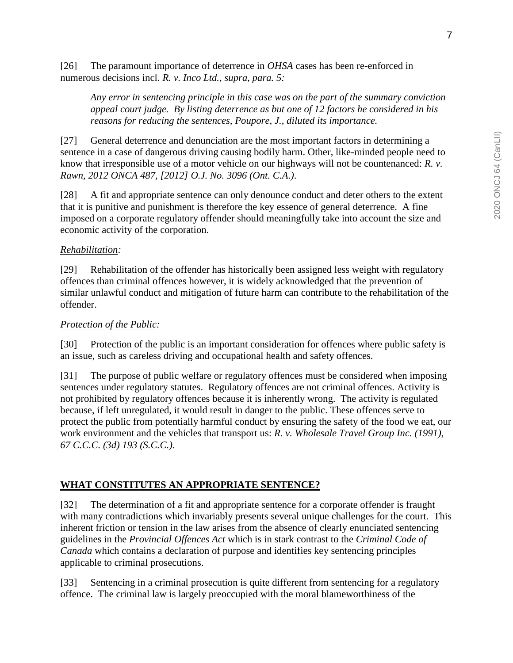[26] The paramount importance of deterrence in *OHSA* cases has been re-enforced in numerous decisions incl. *R. v. Inco Ltd., supra, para. 5:*

*Any error in sentencing principle in this case was on the part of the summary conviction appeal court judge. By listing deterrence as but one of 12 factors he considered in his reasons for reducing the sentences, Poupore, J., diluted its importance.*

[27] General deterrence and denunciation are the most important factors in determining a sentence in a case of dangerous driving causing bodily harm. Other, like-minded people need to know that irresponsible use of a motor vehicle on our highways will not be countenanced: *R. v. Rawn, 2012 ONCA 487, [2012] O.J. No. 3096 (Ont. C.A.)*.

[28] A fit and appropriate sentence can only denounce conduct and deter others to the extent that it is punitive and punishment is therefore the key essence of general deterrence. A fine imposed on a corporate regulatory offender should meaningfully take into account the size and economic activity of the corporation.

#### *Rehabilitation:*

[29] Rehabilitation of the offender has historically been assigned less weight with regulatory offences than criminal offences however, it is widely acknowledged that the prevention of similar unlawful conduct and mitigation of future harm can contribute to the rehabilitation of the offender.

#### *Protection of the Public:*

[30] Protection of the public is an important consideration for offences where public safety is an issue, such as careless driving and occupational health and safety offences.

[31] The purpose of public welfare or regulatory offences must be considered when imposing sentences under regulatory statutes. Regulatory offences are not criminal offences. Activity is not prohibited by regulatory offences because it is inherently wrong. The activity is regulated because, if left unregulated, it would result in danger to the public. These offences serve to protect the public from potentially harmful conduct by ensuring the safety of the food we eat, our work environment and the vehicles that transport us: *R. v. Wholesale Travel Group Inc. (1991), 67 C.C.C. (3d) 193 (S.C.C.)*.

## **WHAT CONSTITUTES AN APPROPRIATE SENTENCE?**

[32] The determination of a fit and appropriate sentence for a corporate offender is fraught with many contradictions which invariably presents several unique challenges for the court. This inherent friction or tension in the law arises from the absence of clearly enunciated sentencing guidelines in the *Provincial Offences Act* which is in stark contrast to the *Criminal Code of Canada* which contains a declaration of purpose and identifies key sentencing principles applicable to criminal prosecutions.

[33] Sentencing in a criminal prosecution is quite different from sentencing for a regulatory offence. The criminal law is largely preoccupied with the moral blameworthiness of the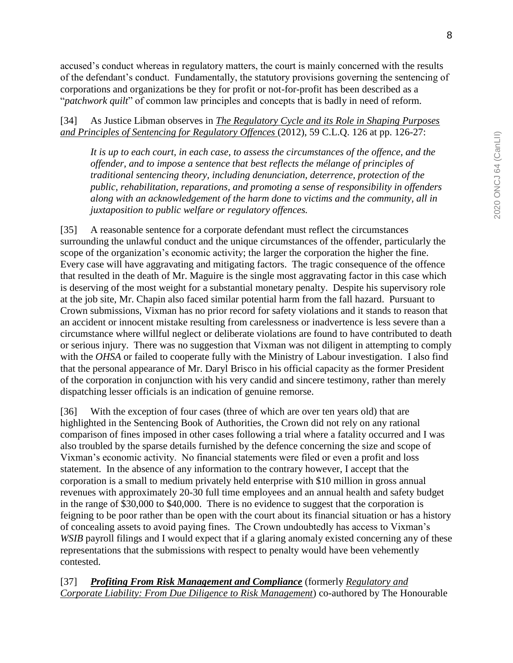accused's conduct whereas in regulatory matters, the court is mainly concerned with the results of the defendant's conduct. Fundamentally, the statutory provisions governing the sentencing of corporations and organizations be they for profit or not-for-profit has been described as a "*patchwork quilt*" of common law principles and concepts that is badly in need of reform.

[34] As Justice Libman observes in *The Regulatory Cycle and its Role in Shaping Purposes and Principles of Sentencing for Regulatory Offences* (2012), 59 C.L.Q. 126 at pp. 126-27:

*It is up to each court, in each case, to assess the circumstances of the offence, and the offender, and to impose a sentence that best reflects the mélange of principles of traditional sentencing theory, including denunciation, deterrence, protection of the public, rehabilitation, reparations, and promoting a sense of responsibility in offenders along with an acknowledgement of the harm done to victims and the community, all in juxtaposition to public welfare or regulatory offences.*

[35] A reasonable sentence for a corporate defendant must reflect the circumstances surrounding the unlawful conduct and the unique circumstances of the offender, particularly the scope of the organization's economic activity; the larger the corporation the higher the fine. Every case will have aggravating and mitigating factors. The tragic consequence of the offence that resulted in the death of Mr. Maguire is the single most aggravating factor in this case which is deserving of the most weight for a substantial monetary penalty. Despite his supervisory role at the job site, Mr. Chapin also faced similar potential harm from the fall hazard. Pursuant to Crown submissions, Vixman has no prior record for safety violations and it stands to reason that an accident or innocent mistake resulting from carelessness or inadvertence is less severe than a circumstance where willful neglect or deliberate violations are found to have contributed to death or serious injury. There was no suggestion that Vixman was not diligent in attempting to comply with the *OHSA* or failed to cooperate fully with the Ministry of Labour investigation. I also find that the personal appearance of Mr. Daryl Brisco in his official capacity as the former President of the corporation in conjunction with his very candid and sincere testimony, rather than merely dispatching lesser officials is an indication of genuine remorse.

[36] With the exception of four cases (three of which are over ten years old) that are highlighted in the Sentencing Book of Authorities, the Crown did not rely on any rational comparison of fines imposed in other cases following a trial where a fatality occurred and I was also troubled by the sparse details furnished by the defence concerning the size and scope of Vixman's economic activity. No financial statements were filed or even a profit and loss statement. In the absence of any information to the contrary however, I accept that the corporation is a small to medium privately held enterprise with \$10 million in gross annual revenues with approximately 20-30 full time employees and an annual health and safety budget in the range of \$30,000 to \$40,000. There is no evidence to suggest that the corporation is feigning to be poor rather than be open with the court about its financial situation or has a history of concealing assets to avoid paying fines. The Crown undoubtedly has access to Vixman's *WSIB* payroll filings and I would expect that if a glaring anomaly existed concerning any of these representations that the submissions with respect to penalty would have been vehemently contested.

[37] *Profiting From Risk Management and Compliance* (formerly *Regulatory and Corporate Liability: From Due Diligence to Risk Management*) co-authored by The Honourable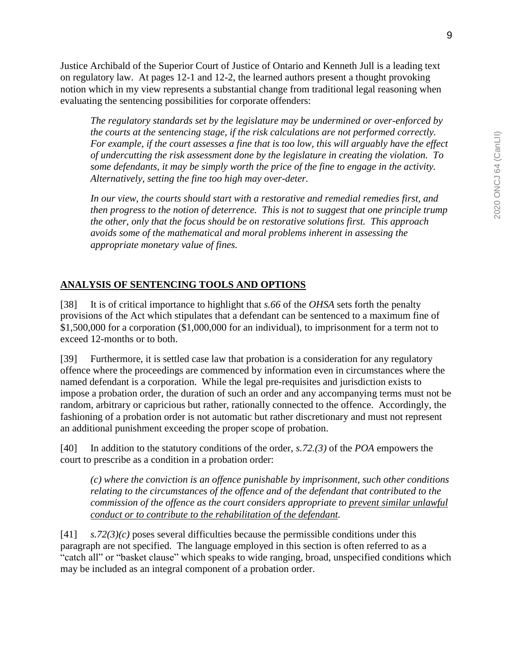Justice Archibald of the Superior Court of Justice of Ontario and Kenneth Jull is a leading text on regulatory law. At pages 12-1 and 12-2, the learned authors present a thought provoking notion which in my view represents a substantial change from traditional legal reasoning when evaluating the sentencing possibilities for corporate offenders:

*The regulatory standards set by the legislature may be undermined or over-enforced by the courts at the sentencing stage, if the risk calculations are not performed correctly. For example, if the court assesses a fine that is too low, this will arguably have the effect of undercutting the risk assessment done by the legislature in creating the violation. To some defendants, it may be simply worth the price of the fine to engage in the activity. Alternatively, setting the fine too high may over-deter.*

*In our view, the courts should start with a restorative and remedial remedies first, and then progress to the notion of deterrence. This is not to suggest that one principle trump the other, only that the focus should be on restorative solutions first. This approach avoids some of the mathematical and moral problems inherent in assessing the appropriate monetary value of fines.*

## **ANALYSIS OF SENTENCING TOOLS AND OPTIONS**

[38] It is of critical importance to highlight that *s.66* of the *OHSA* sets forth the penalty provisions of the Act which stipulates that a defendant can be sentenced to a maximum fine of \$1,500,000 for a corporation (\$1,000,000 for an individual), to imprisonment for a term not to exceed 12-months or to both.

[39] Furthermore, it is settled case law that probation is a consideration for any regulatory offence where the proceedings are commenced by information even in circumstances where the named defendant is a corporation. While the legal pre-requisites and jurisdiction exists to impose a probation order, the duration of such an order and any accompanying terms must not be random, arbitrary or capricious but rather, rationally connected to the offence. Accordingly, the fashioning of a probation order is not automatic but rather discretionary and must not represent an additional punishment exceeding the proper scope of probation.

[40] In addition to the statutory conditions of the order, *s.72.(3)* of the *POA* empowers the court to prescribe as a condition in a probation order:

*(c) where the conviction is an offence punishable by imprisonment, such other conditions relating to the circumstances of the offence and of the defendant that contributed to the commission of the offence as the court considers appropriate to prevent similar unlawful conduct or to contribute to the rehabilitation of the defendant.*

[41] *s.72(3)(c)* poses several difficulties because the permissible conditions under this paragraph are not specified. The language employed in this section is often referred to as a "catch all" or "basket clause" which speaks to wide ranging, broad, unspecified conditions which may be included as an integral component of a probation order.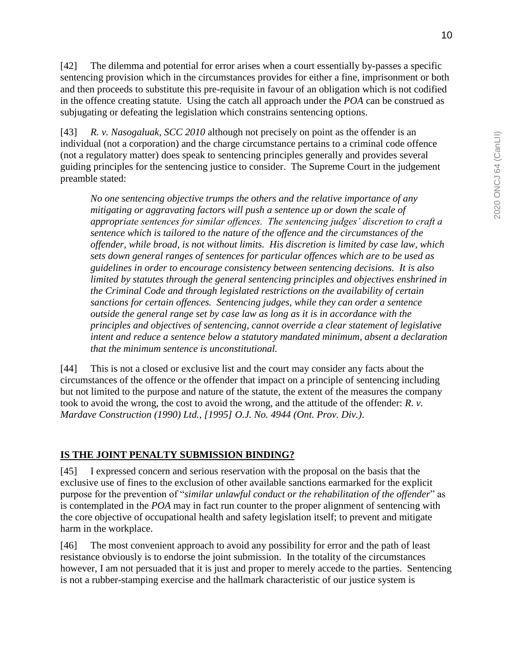[42] The dilemma and potential for error arises when a court essentially by-passes a specific sentencing provision which in the circumstances provides for either a fine, imprisonment or both and then proceeds to substitute this pre-requisite in favour of an obligation which is not codified in the offence creating statute. Using the catch all approach under the *POA* can be construed as subjugating or defeating the legislation which constrains sentencing options.

[43] *R. v. Nasogaluak, SCC 2010* although not precisely on point as the offender is an individual (not a corporation) and the charge circumstance pertains to a criminal code offence (not a regulatory matter) does speak to sentencing principles generally and provides several guiding principles for the sentencing justice to consider. The Supreme Court in the judgement preamble stated:

*No one sentencing objective trumps the others and the relative importance of any mitigating or aggravating factors will push a sentence up or down the scale of appropriate sentences for similar offences. The sentencing judges' discretion to craft a sentence which is tailored to the nature of the offence and the circumstances of the offender, while broad, is not without limits. His discretion is limited by case law, which sets down general ranges of sentences for particular offences which are to be used as guidelines in order to encourage consistency between sentencing decisions. It is also limited by statutes through the general sentencing principles and objectives enshrined in the Criminal Code and through legislated restrictions on the availability of certain sanctions for certain offences. Sentencing judges, while they can order a sentence outside the general range set by case law as long as it is in accordance with the principles and objectives of sentencing, cannot override a clear statement of legislative intent and reduce a sentence below a statutory mandated minimum, absent a declaration that the minimum sentence is unconstitutional.*

[44] This is not a closed or exclusive list and the court may consider any facts about the circumstances of the offence or the offender that impact on a principle of sentencing including but not limited to the purpose and nature of the statute, the extent of the measures the company took to avoid the wrong, the cost to avoid the wrong, and the attitude of the offender: *R. v. Mardave Construction (1990) Ltd., [1995] O.J. No. 4944 (Ont. Prov. Div.)*.

## **IS THE JOINT PENALTY SUBMISSION BINDING?**

[45] I expressed concern and serious reservation with the proposal on the basis that the exclusive use of fines to the exclusion of other available sanctions earmarked for the explicit purpose for the prevention of "*similar unlawful conduct or the rehabilitation of the offender*" as is contemplated in the *POA* may in fact run counter to the proper alignment of sentencing with the core objective of occupational health and safety legislation itself; to prevent and mitigate harm in the workplace.

[46] The most convenient approach to avoid any possibility for error and the path of least resistance obviously is to endorse the joint submission. In the totality of the circumstances however, I am not persuaded that it is just and proper to merely accede to the parties. Sentencing is not a rubber-stamping exercise and the hallmark characteristic of our justice system is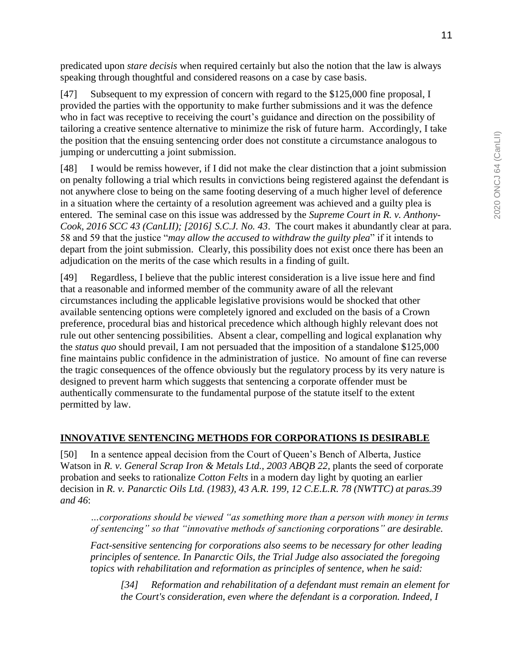predicated upon *stare decisis* when required certainly but also the notion that the law is always speaking through thoughtful and considered reasons on a case by case basis.

[47] Subsequent to my expression of concern with regard to the \$125,000 fine proposal, I provided the parties with the opportunity to make further submissions and it was the defence who in fact was receptive to receiving the court's guidance and direction on the possibility of tailoring a creative sentence alternative to minimize the risk of future harm. Accordingly, I take the position that the ensuing sentencing order does not constitute a circumstance analogous to jumping or undercutting a joint submission.

[48] I would be remiss however, if I did not make the clear distinction that a joint submission on penalty following a trial which results in convictions being registered against the defendant is not anywhere close to being on the same footing deserving of a much higher level of deference in a situation where the certainty of a resolution agreement was achieved and a guilty plea is entered. The seminal case on this issue was addressed by the *Supreme Court in R. v. Anthony-Cook, 2016 SCC 43 (CanLII); [2016] S.C.J. No. 43*. The court makes it abundantly clear at para. 58 and 59 that the justice "*may allow the accused to withdraw the guilty plea*" if it intends to depart from the joint submission. Clearly, this possibility does not exist once there has been an adjudication on the merits of the case which results in a finding of guilt.

[49] Regardless, I believe that the public interest consideration is a live issue here and find that a reasonable and informed member of the community aware of all the relevant circumstances including the applicable legislative provisions would be shocked that other available sentencing options were completely ignored and excluded on the basis of a Crown preference, procedural bias and historical precedence which although highly relevant does not rule out other sentencing possibilities. Absent a clear, compelling and logical explanation why the *status quo* should prevail, I am not persuaded that the imposition of a standalone \$125,000 fine maintains public confidence in the administration of justice. No amount of fine can reverse the tragic consequences of the offence obviously but the regulatory process by its very nature is designed to prevent harm which suggests that sentencing a corporate offender must be authentically commensurate to the fundamental purpose of the statute itself to the extent permitted by law.

## **INNOVATIVE SENTENCING METHODS FOR CORPORATIONS IS DESIRABLE**

[50] In a sentence appeal decision from the Court of Queen's Bench of Alberta, Justice Watson in *R. v. General Scrap Iron & Metals Ltd., 2003 ABOB 22, plants the seed of corporate* probation and seeks to rationalize *Cotton Felts* in a modern day light by quoting an earlier decision in *R. v. Panarctic Oils Ltd. (1983), 43 A.R. 199, 12 C.E.L.R. 78 (NWTTC) at paras.39 and 46*:

*…corporations should be viewed "as something more than a person with money in terms of sentencing" so that "innovative methods of sanctioning corporations" are desirable.* 

*Fact-sensitive sentencing for corporations also seems to be necessary for other leading principles of sentence. In Panarctic Oils, the Trial Judge also associated the foregoing topics with rehabilitation and reformation as principles of sentence, when he said:*

*[34] Reformation and rehabilitation of a defendant must remain an element for the Court's consideration, even where the defendant is a corporation. Indeed, I*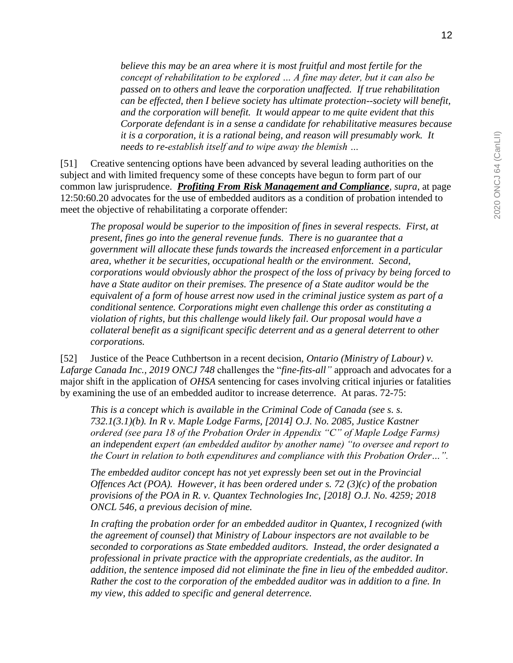*believe this may be an area where it is most fruitful and most fertile for the concept of rehabilitation to be explored … A fine may deter, but it can also be passed on to others and leave the corporation unaffected. If true rehabilitation can be effected, then I believe society has ultimate protection--society will benefit, and the corporation will benefit. It would appear to me quite evident that this Corporate defendant is in a sense a candidate for rehabilitative measures because it is a corporation, it is a rational being, and reason will presumably work. It needs to re-establish itself and to wipe away the blemish …*

[51] Creative sentencing options have been advanced by several leading authorities on the subject and with limited frequency some of these concepts have begun to form part of our common law jurisprudence. *Profiting From Risk Management and Compliance, supra*, at page 12:50:60.20 advocates for the use of embedded auditors as a condition of probation intended to meet the objective of rehabilitating a corporate offender:

*The proposal would be superior to the imposition of fines in several respects. First, at present, fines go into the general revenue funds. There is no guarantee that a government will allocate these funds towards the increased enforcement in a particular area, whether it be securities, occupational health or the environment. Second, corporations would obviously abhor the prospect of the loss of privacy by being forced to have a State auditor on their premises. The presence of a State auditor would be the equivalent of a form of house arrest now used in the criminal justice system as part of a conditional sentence. Corporations might even challenge this order as constituting a violation of rights, but this challenge would likely fail. Our proposal would have a collateral benefit as a significant specific deterrent and as a general deterrent to other corporations.*

[52] Justice of the Peace Cuthbertson in a recent decision, *Ontario (Ministry of Labour) v. Lafarge Canada Inc., 2019 ONCJ 748* challenges the "*fine-fits-all"* approach and advocates for a major shift in the application of *OHSA* sentencing for cases involving critical injuries or fatalities by examining the use of an embedded auditor to increase deterrence. At paras. 72-75:

*This is a concept which is available in the Criminal Code of Canada (see s. s. 732.1(3.1)(b). In R v. Maple Lodge Farms, [2014] O.J. No. 2085, Justice Kastner ordered (see para 18 of the Probation Order in Appendix "C" of Maple Lodge Farms) an independent expert (an embedded auditor by another name) "to oversee and report to the Court in relation to both expenditures and compliance with this Probation Order…".* 

*The embedded auditor concept has not yet expressly been set out in the Provincial Offences Act (POA). However, it has been ordered under s. 72 (3)(c) of the probation provisions of the POA in R. v. Quantex Technologies Inc, [2018] O.J. No. 4259; 2018 ONCL 546, a previous decision of mine.*

*In crafting the probation order for an embedded auditor in Quantex, I recognized (with the agreement of counsel) that Ministry of Labour inspectors are not available to be seconded to corporations as State embedded auditors. Instead, the order designated a professional in private practice with the appropriate credentials, as the auditor. In addition, the sentence imposed did not eliminate the fine in lieu of the embedded auditor. Rather the cost to the corporation of the embedded auditor was in addition to a fine. In my view, this added to specific and general deterrence.*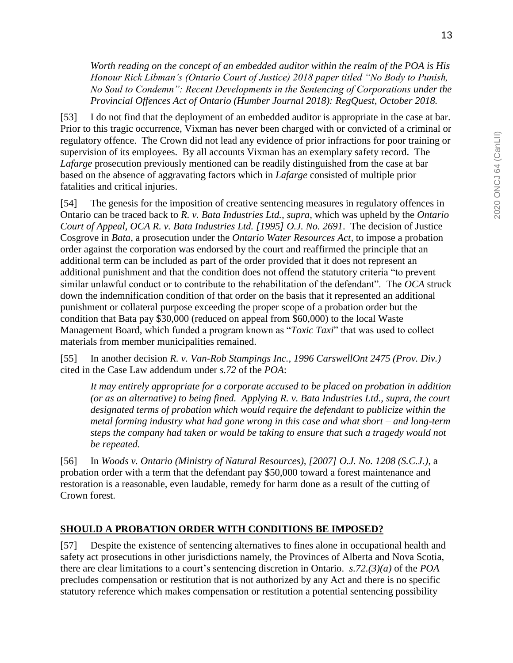*Worth reading on the concept of an embedded auditor within the realm of the POA is His Honour Rick Libman's (Ontario Court of Justice) 2018 paper titled "No Body to Punish, No Soul to Condemn": Recent Developments in the Sentencing of Corporations under the Provincial Offences Act of Ontario (Humber Journal 2018): RegQuest, October 2018.* 

[53] I do not find that the deployment of an embedded auditor is appropriate in the case at bar. Prior to this tragic occurrence, Vixman has never been charged with or convicted of a criminal or regulatory offence. The Crown did not lead any evidence of prior infractions for poor training or supervision of its employees. By all accounts Vixman has an exemplary safety record. The *Lafarge* prosecution previously mentioned can be readily distinguished from the case at bar based on the absence of aggravating factors which in *Lafarge* consisted of multiple prior fatalities and critical injuries.

[54] The genesis for the imposition of creative sentencing measures in regulatory offences in Ontario can be traced back to *R. v. Bata Industries Ltd., supra,* which was upheld by the *Ontario Court of Appeal, OCA R. v. Bata Industries Ltd. [1995] O.J. No. 2691*. The decision of Justice Cosgrove in *Bata,* a prosecution under the *Ontario Water Resources Act,* to impose a probation order against the corporation was endorsed by the court and reaffirmed the principle that an additional term can be included as part of the order provided that it does not represent an additional punishment and that the condition does not offend the statutory criteria "to prevent similar unlawful conduct or to contribute to the rehabilitation of the defendant". The *OCA* struck down the indemnification condition of that order on the basis that it represented an additional punishment or collateral purpose exceeding the proper scope of a probation order but the condition that Bata pay \$30,000 (reduced on appeal from \$60,000) to the local Waste Management Board, which funded a program known as "*Toxic Taxi*" that was used to collect materials from member municipalities remained.

[55] In another decision *R. v. Van-Rob Stampings Inc., 1996 CarswellOnt 2475 (Prov. Div.)*  cited in the Case Law addendum under *s.72* of the *POA*:

*It may entirely appropriate for a corporate accused to be placed on probation in addition (or as an alternative) to being fined. Applying R. v. Bata Industries Ltd., supra, the court designated terms of probation which would require the defendant to publicize within the metal forming industry what had gone wrong in this case and what short – and long-term steps the company had taken or would be taking to ensure that such a tragedy would not be repeated.*

[56] In *Woods v. Ontario (Ministry of Natural Resources), [2007] O.J. No. 1208 (S.C.J.)*, a probation order with a term that the defendant pay \$50,000 toward a forest maintenance and restoration is a reasonable, even laudable, remedy for harm done as a result of the cutting of Crown forest.

## **SHOULD A PROBATION ORDER WITH CONDITIONS BE IMPOSED?**

[57] Despite the existence of sentencing alternatives to fines alone in occupational health and safety act prosecutions in other jurisdictions namely, the Provinces of Alberta and Nova Scotia, there are clear limitations to a court's sentencing discretion in Ontario. *s.72.(3)(a)* of the *POA* precludes compensation or restitution that is not authorized by any Act and there is no specific statutory reference which makes compensation or restitution a potential sentencing possibility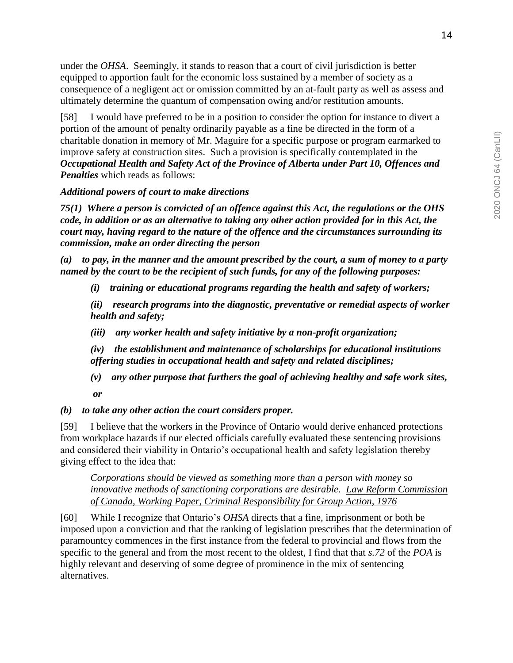under the *OHSA*. Seemingly, it stands to reason that a court of civil jurisdiction is better equipped to apportion fault for the economic loss sustained by a member of society as a consequence of a negligent act or omission committed by an at-fault party as well as assess and

[58] I would have preferred to be in a position to consider the option for instance to divert a portion of the amount of penalty ordinarily payable as a fine be directed in the form of a charitable donation in memory of Mr. Maguire for a specific purpose or program earmarked to improve safety at construction sites. Such a provision is specifically contemplated in the *Occupational Health and Safety Act of the Province of Alberta under Part 10, Offences and Penalties* which reads as follows:

ultimately determine the quantum of compensation owing and/or restitution amounts.

#### *Additional powers of court to make directions*

*75(1) Where a person is convicted of an offence against this Act, the regulations or the OHS code, in addition or as an alternative to taking any other action provided for in this Act, the court may, having regard to the nature of the offence and the circumstances surrounding its commission, make an order directing the person*

*(a) to pay, in the manner and the amount prescribed by the court, a sum of money to a party named by the court to be the recipient of such funds, for any of the following purposes:*

*(i) training or educational programs regarding the health and safety of workers;*

*(ii) research programs into the diagnostic, preventative or remedial aspects of worker health and safety;*

*(iii) any worker health and safety initiative by a non-profit organization;*

*(iv) the establishment and maintenance of scholarships for educational institutions offering studies in occupational health and safety and related disciplines;*

*(v) any other purpose that furthers the goal of achieving healthy and safe work sites, or*

#### *(b) to take any other action the court considers proper.*

[59] I believe that the workers in the Province of Ontario would derive enhanced protections from workplace hazards if our elected officials carefully evaluated these sentencing provisions and considered their viability in Ontario's occupational health and safety legislation thereby giving effect to the idea that:

*Corporations should be viewed as something more than a person with money so innovative methods of sanctioning corporations are desirable. Law Reform Commission of Canada, Working Paper, Criminal Responsibility for Group Action, 1976* 

[60] While I recognize that Ontario's *OHSA* directs that a fine, imprisonment or both be imposed upon a conviction and that the ranking of legislation prescribes that the determination of paramountcy commences in the first instance from the federal to provincial and flows from the specific to the general and from the most recent to the oldest, I find that that *s.72* of the *POA* is highly relevant and deserving of some degree of prominence in the mix of sentencing alternatives.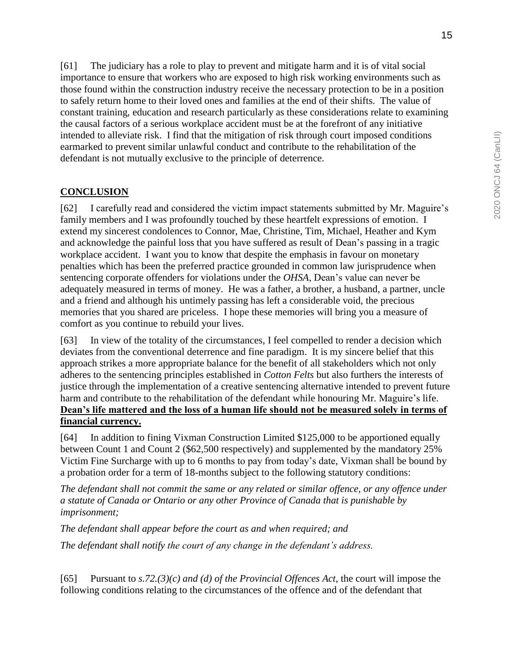[61] The judiciary has a role to play to prevent and mitigate harm and it is of vital social importance to ensure that workers who are exposed to high risk working environments such as those found within the construction industry receive the necessary protection to be in a position to safely return home to their loved ones and families at the end of their shifts. The value of constant training, education and research particularly as these considerations relate to examining the causal factors of a serious workplace accident must be at the forefront of any initiative intended to alleviate risk. I find that the mitigation of risk through court imposed conditions earmarked to prevent similar unlawful conduct and contribute to the rehabilitation of the defendant is not mutually exclusive to the principle of deterrence.

## **CONCLUSION**

[62] I carefully read and considered the victim impact statements submitted by Mr. Maguire's family members and I was profoundly touched by these heartfelt expressions of emotion. I extend my sincerest condolences to Connor, Mae, Christine, Tim, Michael, Heather and Kym and acknowledge the painful loss that you have suffered as result of Dean's passing in a tragic workplace accident. I want you to know that despite the emphasis in favour on monetary penalties which has been the preferred practice grounded in common law jurisprudence when sentencing corporate offenders for violations under the *OHSA*, Dean's value can never be adequately measured in terms of money. He was a father, a brother, a husband, a partner, uncle and a friend and although his untimely passing has left a considerable void, the precious memories that you shared are priceless. I hope these memories will bring you a measure of comfort as you continue to rebuild your lives.

[63] In view of the totality of the circumstances, I feel compelled to render a decision which deviates from the conventional deterrence and fine paradigm. It is my sincere belief that this approach strikes a more appropriate balance for the benefit of all stakeholders which not only adheres to the sentencing principles established in *Cotton Felts* but also furthers the interests of justice through the implementation of a creative sentencing alternative intended to prevent future harm and contribute to the rehabilitation of the defendant while honouring Mr. Maguire's life. **Dean's life mattered and the loss of a human life should not be measured solely in terms of financial currency.**

[64] In addition to fining Vixman Construction Limited \$125,000 to be apportioned equally between Count 1 and Count 2 (\$62,500 respectively) and supplemented by the mandatory 25% Victim Fine Surcharge with up to 6 months to pay from today's date, Vixman shall be bound by a probation order for a term of 18-months subject to the following statutory conditions:

*The defendant shall not commit the same or any related or similar offence, or any offence under a statute of Canada or Ontario or any other Province of Canada that is punishable by imprisonment;*

*The defendant shall appear before the court as and when required; and*

*The defendant shall notify the court of any change in the defendant's address.* 

[65] Pursuant to *s.72.(3)(c) and (d) of the Provincial Offences Act*, the court will impose the following conditions relating to the circumstances of the offence and of the defendant that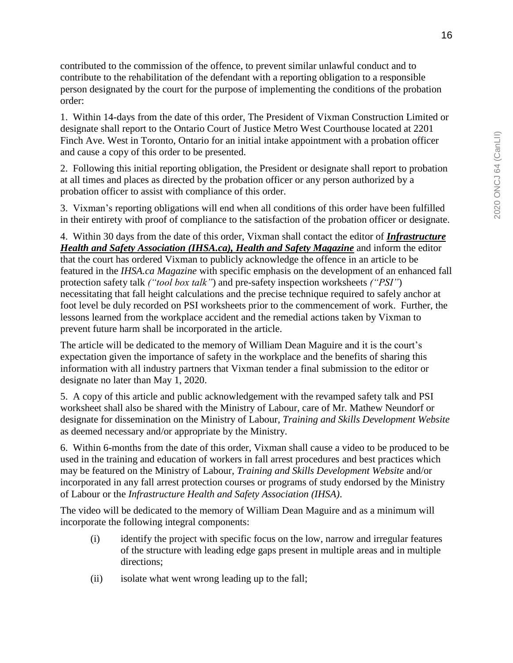contributed to the commission of the offence, to prevent similar unlawful conduct and to contribute to the rehabilitation of the defendant with a reporting obligation to a responsible person designated by the court for the purpose of implementing the conditions of the probation order:

1. Within 14-days from the date of this order, The President of Vixman Construction Limited or designate shall report to the Ontario Court of Justice Metro West Courthouse located at 2201 Finch Ave. West in Toronto, Ontario for an initial intake appointment with a probation officer and cause a copy of this order to be presented.

2. Following this initial reporting obligation, the President or designate shall report to probation at all times and places as directed by the probation officer or any person authorized by a probation officer to assist with compliance of this order.

3. Vixman's reporting obligations will end when all conditions of this order have been fulfilled in their entirety with proof of compliance to the satisfaction of the probation officer or designate.

4. Within 30 days from the date of this order, Vixman shall contact the editor of *Infrastructure Health and Safety Association (IHSA.ca), Health and Safety Magazine* and inform the editor that the court has ordered Vixman to publicly acknowledge the offence in an article to be featured in the *IHSA.ca Magazine* with specific emphasis on the development of an enhanced fall protection safety talk *("tool box talk"*) and pre-safety inspection worksheets *("PSI"*) necessitating that fall height calculations and the precise technique required to safely anchor at foot level be duly recorded on PSI worksheets prior to the commencement of work. Further, the lessons learned from the workplace accident and the remedial actions taken by Vixman to prevent future harm shall be incorporated in the article.

The article will be dedicated to the memory of William Dean Maguire and it is the court's expectation given the importance of safety in the workplace and the benefits of sharing this information with all industry partners that Vixman tender a final submission to the editor or designate no later than May 1, 2020.

5. A copy of this article and public acknowledgement with the revamped safety talk and PSI worksheet shall also be shared with the Ministry of Labour, care of Mr. Mathew Neundorf or designate for dissemination on the Ministry of Labour, *Training and Skills Development Website* as deemed necessary and/or appropriate by the Ministry.

6. Within 6-months from the date of this order, Vixman shall cause a video to be produced to be used in the training and education of workers in fall arrest procedures and best practices which may be featured on the Ministry of Labour, *Training and Skills Development Website* and/or incorporated in any fall arrest protection courses or programs of study endorsed by the Ministry of Labour or the *Infrastructure Health and Safety Association (IHSA)*.

The video will be dedicated to the memory of William Dean Maguire and as a minimum will incorporate the following integral components:

- (i) identify the project with specific focus on the low, narrow and irregular features of the structure with leading edge gaps present in multiple areas and in multiple directions;
- (ii) isolate what went wrong leading up to the fall;